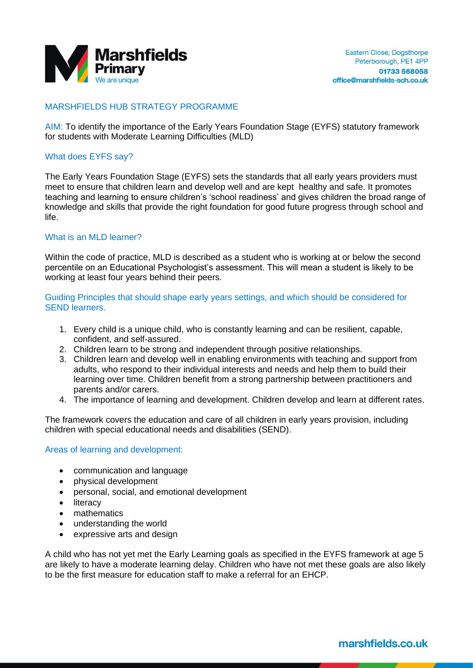

## MARSHFIELDS HUB STRATEGY PROGRAMME

AIM: To identify the importance of the Early Years Foundation Stage (EYFS) statutory framework for students with Moderate Learning Difficulties (MLD)

#### What does EYFS say?

The Early Years Foundation Stage (EYFS) sets the standards that all early years providers must meet to ensure that children learn and develop well and are kept healthy and safe. It promotes teaching and learning to ensure children's 'school readiness' and gives children the broad range of knowledge and skills that provide the right foundation for good future progress through school and life.

### What is an MLD learner?

Within the code of practice, MLD is described as a student who is working at or below the second percentile on an Educational Psychologist's assessment. This will mean a student is likely to be working at least four years behind their peers.

Guiding Principles that should shape early years settings, and which should be considered for SEND learners.

- 1. Every child is a unique child, who is constantly learning and can be resilient, capable, confident, and self-assured.
- 2. Children learn to be strong and independent through positive relationships.
- 3. Children learn and develop well in enabling environments with teaching and support from adults, who respond to their individual interests and needs and help them to build their learning over time. Children benefit from a strong partnership between practitioners and parents and/or carers.
- 4. The importance of learning and development. Children develop and learn at different rates.

The framework covers the education and care of all children in early years provision, including children with special educational needs and disabilities (SEND).

#### Areas of learning and development:

- communication and language
- physical development
- personal, social, and emotional development
- literacy
- mathematics
- understanding the world
- expressive arts and design

A child who has not yet met the Early Learning goals as specified in the EYFS framework at age 5 are likely to have a moderate learning delay. Children who have not met these goals are also likely to be the first measure for education staff to make a referral for an EHCP.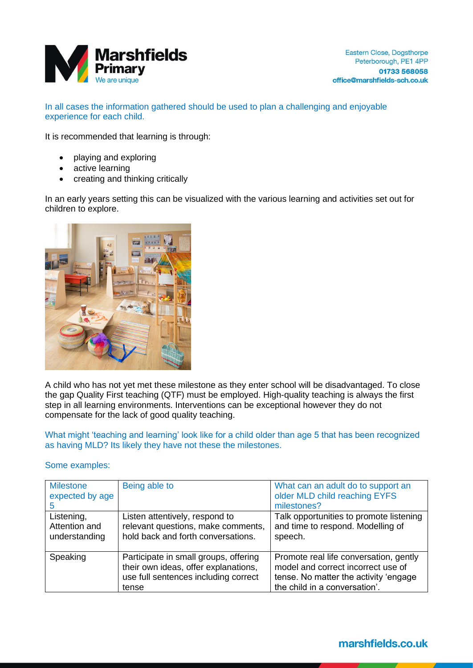

In all cases the information gathered should be used to plan a challenging and enjoyable experience for each child.

It is recommended that learning is through:

- playing and exploring
- active learning
- creating and thinking critically

In an early years setting this can be visualized with the various learning and activities set out for children to explore.



A child who has not yet met these milestone as they enter school will be disadvantaged. To close the gap Quality First teaching (QTF) must be employed. High-quality teaching is always the first step in all learning environments. Interventions can be exceptional however they do not compensate for the lack of good quality teaching.

What might 'teaching and learning' look like for a child older than age 5 that has been recognized as having MLD? Its likely they have not these the milestones.

#### Some examples:

| <b>Milestone</b><br>expected by age          | Being able to                                                                                                                  | What can an adult do to support an<br>older MLD child reaching EYFS<br>milestones?                                                                     |
|----------------------------------------------|--------------------------------------------------------------------------------------------------------------------------------|--------------------------------------------------------------------------------------------------------------------------------------------------------|
| Listening,<br>Attention and<br>understanding | Listen attentively, respond to<br>relevant questions, make comments,<br>hold back and forth conversations.                     | Talk opportunities to promote listening<br>and time to respond. Modelling of<br>speech.                                                                |
| Speaking                                     | Participate in small groups, offering<br>their own ideas, offer explanations,<br>use full sentences including correct<br>tense | Promote real life conversation, gently<br>model and correct incorrect use of<br>tense. No matter the activity 'engage<br>the child in a conversation'. |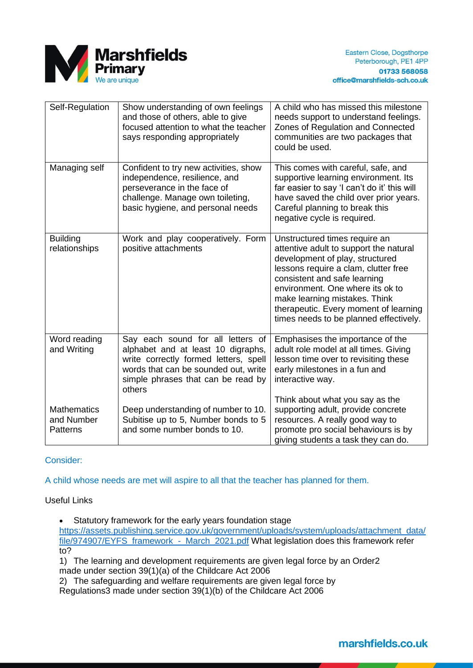

| Self-Regulation                                     | Show understanding of own feelings<br>and those of others, able to give<br>focused attention to what the teacher<br>says responding appropriately                                                        | A child who has missed this milestone<br>needs support to understand feelings.<br>Zones of Regulation and Connected<br>communities are two packages that<br>could be used.                                                                                                                                                                 |
|-----------------------------------------------------|----------------------------------------------------------------------------------------------------------------------------------------------------------------------------------------------------------|--------------------------------------------------------------------------------------------------------------------------------------------------------------------------------------------------------------------------------------------------------------------------------------------------------------------------------------------|
| Managing self                                       | Confident to try new activities, show<br>independence, resilience, and<br>perseverance in the face of<br>challenge. Manage own toileting,<br>basic hygiene, and personal needs                           | This comes with careful, safe, and<br>supportive learning environment. Its<br>far easier to say 'I can't do it' this will<br>have saved the child over prior years.<br>Careful planning to break this<br>negative cycle is required.                                                                                                       |
| <b>Building</b><br>relationships                    | Work and play cooperatively. Form<br>positive attachments                                                                                                                                                | Unstructured times require an<br>attentive adult to support the natural<br>development of play, structured<br>lessons require a clam, clutter free<br>consistent and safe learning<br>environment. One where its ok to<br>make learning mistakes. Think<br>therapeutic. Every moment of learning<br>times needs to be planned effectively. |
| Word reading<br>and Writing                         | Say each sound for all letters of<br>alphabet and at least 10 digraphs,<br>write correctly formed letters, spell<br>words that can be sounded out, write<br>simple phrases that can be read by<br>others | Emphasises the importance of the<br>adult role model at all times. Giving<br>lesson time over to revisiting these<br>early milestones in a fun and<br>interactive way.                                                                                                                                                                     |
| <b>Mathematics</b><br>and Number<br><b>Patterns</b> | Deep understanding of number to 10.<br>Subitise up to 5, Number bonds to 5<br>and some number bonds to 10.                                                                                               | Think about what you say as the<br>supporting adult, provide concrete<br>resources. A really good way to<br>promote pro social behaviours is by<br>giving students a task they can do.                                                                                                                                                     |

Consider:

A child whose needs are met will aspire to all that the teacher has planned for them.

Useful Links

• Statutory framework for the early years foundation stage

[https://assets.publishing.service.gov.uk/government/uploads/system/uploads/attachment\\_data/](https://assets.publishing.service.gov.uk/government/uploads/system/uploads/attachment_data/file/974907/EYFS_framework_-_March_2021.pdf) [file/974907/EYFS\\_framework\\_-\\_March\\_2021.pdf](https://assets.publishing.service.gov.uk/government/uploads/system/uploads/attachment_data/file/974907/EYFS_framework_-_March_2021.pdf) What legislation does this framework refer to?

1) The learning and development requirements are given legal force by an Order2 made under section 39(1)(a) of the Childcare Act 2006

2) The safeguarding and welfare requirements are given legal force by

Regulations3 made under section 39(1)(b) of the Childcare Act 2006